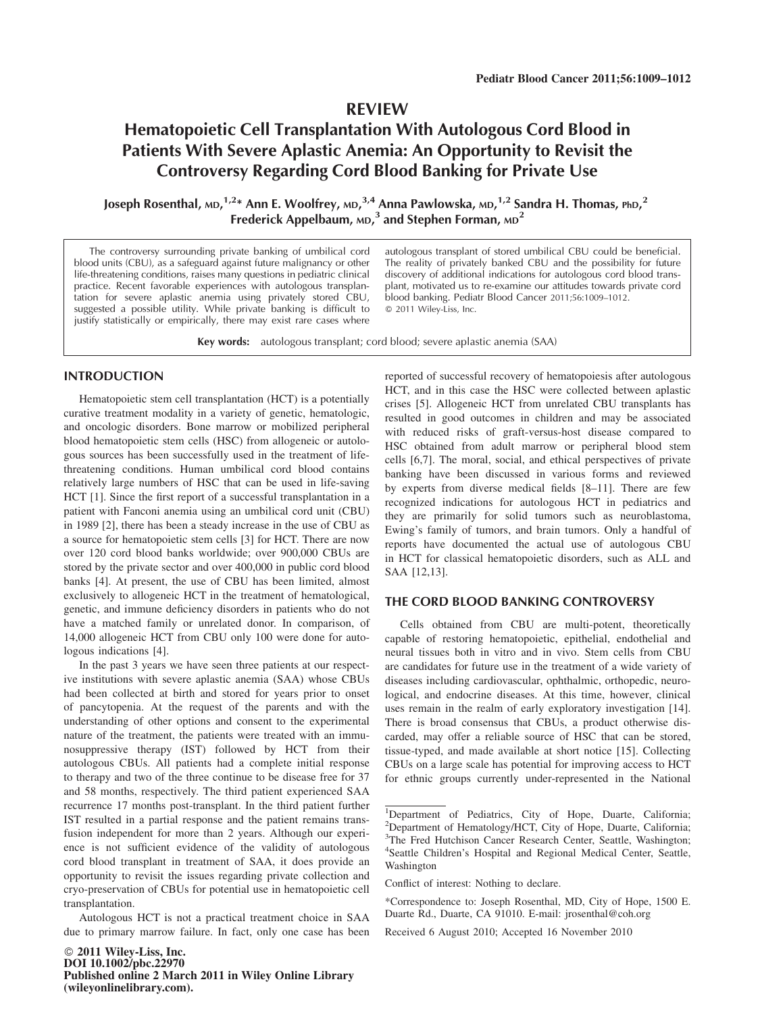## REVIEW

# Hematopoietic Cell Transplantation With Autologous Cord Blood in Patients With Severe Aplastic Anemia: An Opportunity to Revisit the Controversy Regarding Cord Blood Banking for Private Use

Joseph Rosenthal, мр, $^{1,2}$ \* Ann E. Woolfrey, мр, $^{3,4}$  Anna Pawlowska, мр, $^{1,2}$  Sandra H. Thomas, рһр, $^2$ Frederick Appelbaum,  $\text{MD}^3$  and Stephen Forman,  $\text{MD}^2$ 

The controversy surrounding private banking of umbilical cord blood units (CBU), as a safeguard against future malignancy or other life-threatening conditions, raises many questions in pediatric clinical practice. Recent favorable experiences with autologous transplantation for severe aplastic anemia using privately stored CBU, suggested a possible utility. While private banking is difficult to justify statistically or empirically, there may exist rare cases where

autologous transplant of stored umbilical CBU could be beneficial. The reality of privately banked CBU and the possibility for future discovery of additional indications for autologous cord blood transplant, motivated us to re-examine our attitudes towards private cord blood banking. Pediatr Blood Cancer 2011;56:1009–1012. 2011 Wiley-Liss, Inc.

Key words: autologous transplant; cord blood; severe aplastic anemia (SAA)

## INTRODUCTION

Hematopoietic stem cell transplantation (HCT) is a potentially curative treatment modality in a variety of genetic, hematologic, and oncologic disorders. Bone marrow or mobilized peripheral blood hematopoietic stem cells (HSC) from allogeneic or autologous sources has been successfully used in the treatment of lifethreatening conditions. Human umbilical cord blood contains relatively large numbers of HSC that can be used in life-saving HCT [1]. Since the first report of a successful transplantation in a patient with Fanconi anemia using an umbilical cord unit (CBU) in 1989 [2], there has been a steady increase in the use of CBU as a source for hematopoietic stem cells [3] for HCT. There are now over 120 cord blood banks worldwide; over 900,000 CBUs are stored by the private sector and over 400,000 in public cord blood banks [4]. At present, the use of CBU has been limited, almost exclusively to allogeneic HCT in the treatment of hematological, genetic, and immune deficiency disorders in patients who do not have a matched family or unrelated donor. In comparison, of 14,000 allogeneic HCT from CBU only 100 were done for autologous indications [4].

In the past 3 years we have seen three patients at our respective institutions with severe aplastic anemia (SAA) whose CBUs had been collected at birth and stored for years prior to onset of pancytopenia. At the request of the parents and with the understanding of other options and consent to the experimental nature of the treatment, the patients were treated with an immunosuppressive therapy (IST) followed by HCT from their autologous CBUs. All patients had a complete initial response to therapy and two of the three continue to be disease free for 37 and 58 months, respectively. The third patient experienced SAA recurrence 17 months post-transplant. In the third patient further IST resulted in a partial response and the patient remains transfusion independent for more than 2 years. Although our experience is not sufficient evidence of the validity of autologous cord blood transplant in treatment of SAA, it does provide an opportunity to revisit the issues regarding private collection and cryo-preservation of CBUs for potential use in hematopoietic cell transplantation.

Autologous HCT is not a practical treatment choice in SAA due to primary marrow failure. In fact, only one case has been reported of successful recovery of hematopoiesis after autologous HCT, and in this case the HSC were collected between aplastic crises [5]. Allogeneic HCT from unrelated CBU transplants has resulted in good outcomes in children and may be associated with reduced risks of graft-versus-host disease compared to HSC obtained from adult marrow or peripheral blood stem cells [6,7]. The moral, social, and ethical perspectives of private banking have been discussed in various forms and reviewed by experts from diverse medical fields [8–11]. There are few recognized indications for autologous HCT in pediatrics and they are primarily for solid tumors such as neuroblastoma, Ewing's family of tumors, and brain tumors. Only a handful of reports have documented the actual use of autologous CBU in HCT for classical hematopoietic disorders, such as ALL and SAA [12,13].

## THE CORD BLOOD BANKING CONTROVERSY

Cells obtained from CBU are multi-potent, theoretically capable of restoring hematopoietic, epithelial, endothelial and neural tissues both in vitro and in vivo. Stem cells from CBU are candidates for future use in the treatment of a wide variety of diseases including cardiovascular, ophthalmic, orthopedic, neurological, and endocrine diseases. At this time, however, clinical uses remain in the realm of early exploratory investigation [14]. There is broad consensus that CBUs, a product otherwise discarded, may offer a reliable source of HSC that can be stored, tissue-typed, and made available at short notice [15]. Collecting CBUs on a large scale has potential for improving access to HCT for ethnic groups currently under-represented in the National

Conflict of interest: Nothing to declare.

\*Correspondence to: Joseph Rosenthal, MD, City of Hope, 1500 E. Duarte Rd., Duarte, CA 91010. E-mail: jrosenthal@coh.org

Received 6 August 2010; Accepted 16 November 2010

<sup>&</sup>lt;sup>1</sup>Department of Pediatrics, City of Hope, Duarte, California; <sup>2</sup>Department of Hematology/HCT, City of Hope, Duarte, California; <sup>3</sup>The Fred Hutchison Cancer Research Center, Seattle, Washington; 4 Seattle Children's Hospital and Regional Medical Center, Seattle, Washington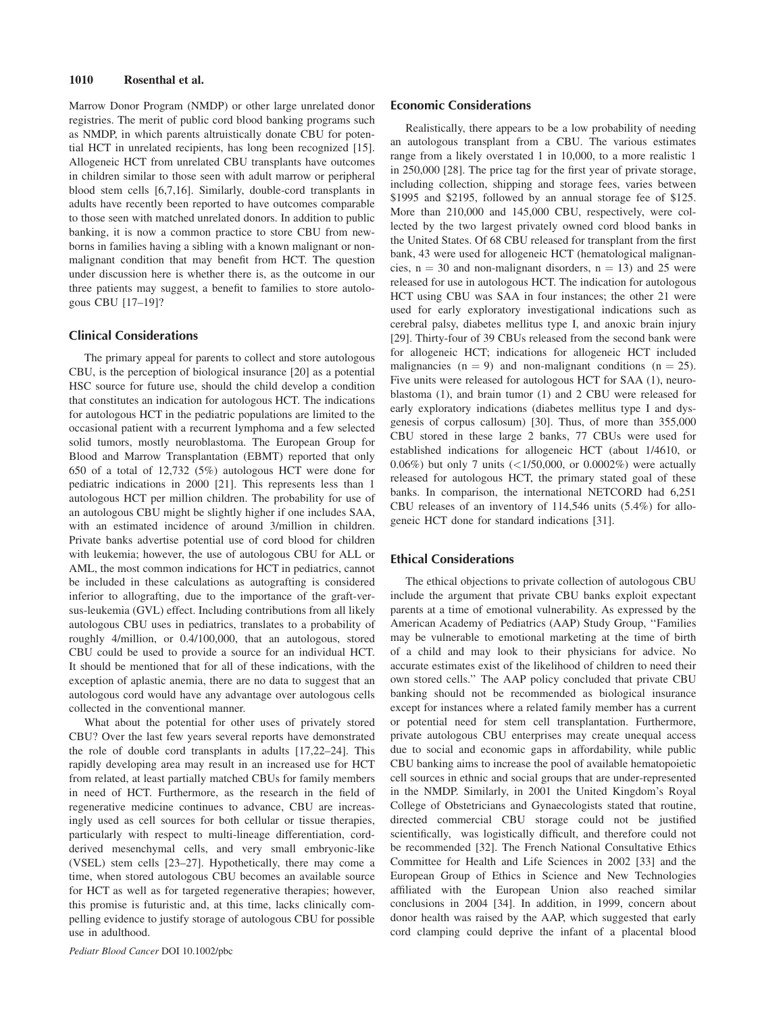#### 1010 Rosenthal et al.

Marrow Donor Program (NMDP) or other large unrelated donor registries. The merit of public cord blood banking programs such as NMDP, in which parents altruistically donate CBU for potential HCT in unrelated recipients, has long been recognized [15]. Allogeneic HCT from unrelated CBU transplants have outcomes in children similar to those seen with adult marrow or peripheral blood stem cells [6,7,16]. Similarly, double-cord transplants in adults have recently been reported to have outcomes comparable to those seen with matched unrelated donors. In addition to public banking, it is now a common practice to store CBU from newborns in families having a sibling with a known malignant or nonmalignant condition that may benefit from HCT. The question under discussion here is whether there is, as the outcome in our three patients may suggest, a benefit to families to store autologous CBU [17–19]?

#### Clinical Considerations

The primary appeal for parents to collect and store autologous CBU, is the perception of biological insurance [20] as a potential HSC source for future use, should the child develop a condition that constitutes an indication for autologous HCT. The indications for autologous HCT in the pediatric populations are limited to the occasional patient with a recurrent lymphoma and a few selected solid tumors, mostly neuroblastoma. The European Group for Blood and Marrow Transplantation (EBMT) reported that only 650 of a total of 12,732 (5%) autologous HCT were done for pediatric indications in 2000 [21]. This represents less than 1 autologous HCT per million children. The probability for use of an autologous CBU might be slightly higher if one includes SAA, with an estimated incidence of around 3/million in children. Private banks advertise potential use of cord blood for children with leukemia; however, the use of autologous CBU for ALL or AML, the most common indications for HCT in pediatrics, cannot be included in these calculations as autografting is considered inferior to allografting, due to the importance of the graft-versus-leukemia (GVL) effect. Including contributions from all likely autologous CBU uses in pediatrics, translates to a probability of roughly 4/million, or 0.4/100,000, that an autologous, stored CBU could be used to provide a source for an individual HCT. It should be mentioned that for all of these indications, with the exception of aplastic anemia, there are no data to suggest that an autologous cord would have any advantage over autologous cells collected in the conventional manner.

What about the potential for other uses of privately stored CBU? Over the last few years several reports have demonstrated the role of double cord transplants in adults [17,22–24]. This rapidly developing area may result in an increased use for HCT from related, at least partially matched CBUs for family members in need of HCT. Furthermore, as the research in the field of regenerative medicine continues to advance, CBU are increasingly used as cell sources for both cellular or tissue therapies, particularly with respect to multi-lineage differentiation, cordderived mesenchymal cells, and very small embryonic-like (VSEL) stem cells [23–27]. Hypothetically, there may come a time, when stored autologous CBU becomes an available source for HCT as well as for targeted regenerative therapies; however, this promise is futuristic and, at this time, lacks clinically compelling evidence to justify storage of autologous CBU for possible use in adulthood.

## Economic Considerations

Realistically, there appears to be a low probability of needing an autologous transplant from a CBU. The various estimates range from a likely overstated 1 in 10,000, to a more realistic 1 in 250,000 [28]. The price tag for the first year of private storage, including collection, shipping and storage fees, varies between \$1995 and \$2195, followed by an annual storage fee of \$125. More than 210,000 and 145,000 CBU, respectively, were collected by the two largest privately owned cord blood banks in the United States. Of 68 CBU released for transplant from the first bank, 43 were used for allogeneic HCT (hematological malignancies,  $n = 30$  and non-malignant disorders,  $n = 13$ ) and 25 were released for use in autologous HCT. The indication for autologous HCT using CBU was SAA in four instances; the other 21 were used for early exploratory investigational indications such as cerebral palsy, diabetes mellitus type I, and anoxic brain injury [29]. Thirty-four of 39 CBUs released from the second bank were for allogeneic HCT; indications for allogeneic HCT included malignancies ( $n = 9$ ) and non-malignant conditions ( $n = 25$ ). Five units were released for autologous HCT for SAA (1), neuroblastoma (1), and brain tumor (1) and 2 CBU were released for early exploratory indications (diabetes mellitus type I and dysgenesis of corpus callosum) [30]. Thus, of more than 355,000 CBU stored in these large 2 banks, 77 CBUs were used for established indications for allogeneic HCT (about 1/4610, or 0.06%) but only 7 units (<1/50,000, or 0.0002%) were actually released for autologous HCT, the primary stated goal of these banks. In comparison, the international NETCORD had 6,251 CBU releases of an inventory of 114,546 units (5.4%) for allogeneic HCT done for standard indications [31].

## Ethical Considerations

The ethical objections to private collection of autologous CBU include the argument that private CBU banks exploit expectant parents at a time of emotional vulnerability. As expressed by the American Academy of Pediatrics (AAP) Study Group, ''Families may be vulnerable to emotional marketing at the time of birth of a child and may look to their physicians for advice. No accurate estimates exist of the likelihood of children to need their own stored cells.'' The AAP policy concluded that private CBU banking should not be recommended as biological insurance except for instances where a related family member has a current or potential need for stem cell transplantation. Furthermore, private autologous CBU enterprises may create unequal access due to social and economic gaps in affordability, while public CBU banking aims to increase the pool of available hematopoietic cell sources in ethnic and social groups that are under-represented in the NMDP. Similarly, in 2001 the United Kingdom's Royal College of Obstetricians and Gynaecologists stated that routine, directed commercial CBU storage could not be justified scientifically, was logistically difficult, and therefore could not be recommended [32]. The French National Consultative Ethics Committee for Health and Life Sciences in 2002 [33] and the European Group of Ethics in Science and New Technologies affiliated with the European Union also reached similar conclusions in 2004 [34]. In addition, in 1999, concern about donor health was raised by the AAP, which suggested that early cord clamping could deprive the infant of a placental blood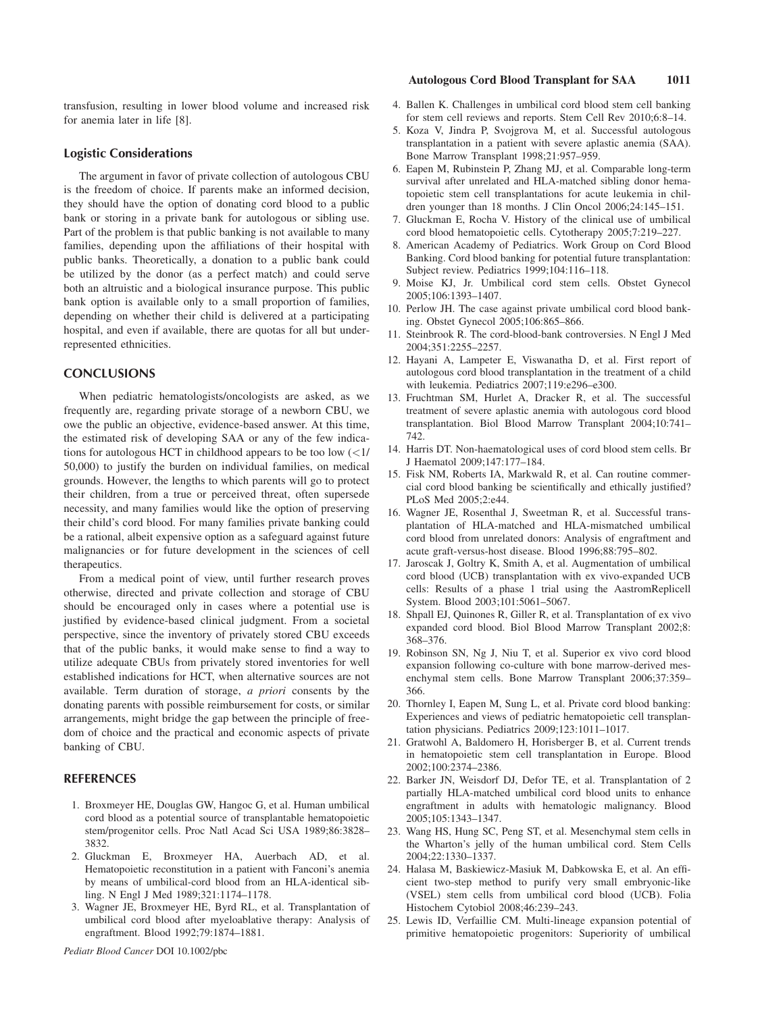transfusion, resulting in lower blood volume and increased risk for anemia later in life [8].

## Logistic Considerations

The argument in favor of private collection of autologous CBU is the freedom of choice. If parents make an informed decision, they should have the option of donating cord blood to a public bank or storing in a private bank for autologous or sibling use. Part of the problem is that public banking is not available to many families, depending upon the affiliations of their hospital with public banks. Theoretically, a donation to a public bank could be utilized by the donor (as a perfect match) and could serve both an altruistic and a biological insurance purpose. This public bank option is available only to a small proportion of families, depending on whether their child is delivered at a participating hospital, and even if available, there are quotas for all but underrepresented ethnicities.

## **CONCLUSIONS**

When pediatric hematologists/oncologists are asked, as we frequently are, regarding private storage of a newborn CBU, we owe the public an objective, evidence-based answer. At this time, the estimated risk of developing SAA or any of the few indications for autologous HCT in childhood appears to be too low  $\left\langle \langle 1 \rangle \right\rangle$ 50,000) to justify the burden on individual families, on medical grounds. However, the lengths to which parents will go to protect their children, from a true or perceived threat, often supersede necessity, and many families would like the option of preserving their child's cord blood. For many families private banking could be a rational, albeit expensive option as a safeguard against future malignancies or for future development in the sciences of cell therapeutics.

From a medical point of view, until further research proves otherwise, directed and private collection and storage of CBU should be encouraged only in cases where a potential use is justified by evidence-based clinical judgment. From a societal perspective, since the inventory of privately stored CBU exceeds that of the public banks, it would make sense to find a way to utilize adequate CBUs from privately stored inventories for well established indications for HCT, when alternative sources are not available. Term duration of storage, a priori consents by the donating parents with possible reimbursement for costs, or similar arrangements, might bridge the gap between the principle of freedom of choice and the practical and economic aspects of private banking of CBU.

## REFERENCES

- 1. Broxmeyer HE, Douglas GW, Hangoc G, et al. Human umbilical cord blood as a potential source of transplantable hematopoietic stem/progenitor cells. Proc Natl Acad Sci USA 1989;86:3828– 3832.
- 2. Gluckman E, Broxmeyer HA, Auerbach AD, et al. Hematopoietic reconstitution in a patient with Fanconi's anemia by means of umbilical-cord blood from an HLA-identical sibling. N Engl J Med 1989;321:1174–1178.
- 3. Wagner JE, Broxmeyer HE, Byrd RL, et al. Transplantation of umbilical cord blood after myeloablative therapy: Analysis of engraftment. Blood 1992;79:1874–1881.

## Autologous Cord Blood Transplant for SAA 1011

- 4. Ballen K. Challenges in umbilical cord blood stem cell banking for stem cell reviews and reports. Stem Cell Rev 2010;6:8–14.
- 5. Koza V, Jindra P, Svojgrova M, et al. Successful autologous transplantation in a patient with severe aplastic anemia (SAA). Bone Marrow Transplant 1998;21:957–959.
- 6. Eapen M, Rubinstein P, Zhang MJ, et al. Comparable long-term survival after unrelated and HLA-matched sibling donor hematopoietic stem cell transplantations for acute leukemia in children younger than 18 months. J Clin Oncol 2006;24:145–151.
- 7. Gluckman E, Rocha V. History of the clinical use of umbilical cord blood hematopoietic cells. Cytotherapy 2005;7:219–227.
- 8. American Academy of Pediatrics. Work Group on Cord Blood Banking. Cord blood banking for potential future transplantation: Subject review. Pediatrics 1999;104:116–118.
- 9. Moise KJ, Jr. Umbilical cord stem cells. Obstet Gynecol 2005;106:1393–1407.
- 10. Perlow JH. The case against private umbilical cord blood banking. Obstet Gynecol 2005;106:865–866.
- 11. Steinbrook R. The cord-blood-bank controversies. N Engl J Med 2004;351:2255–2257.
- 12. Hayani A, Lampeter E, Viswanatha D, et al. First report of autologous cord blood transplantation in the treatment of a child with leukemia. Pediatrics 2007;119:e296–e300.
- 13. Fruchtman SM, Hurlet A, Dracker R, et al. The successful treatment of severe aplastic anemia with autologous cord blood transplantation. Biol Blood Marrow Transplant 2004;10:741– 742.
- 14. Harris DT. Non-haematological uses of cord blood stem cells. Br J Haematol 2009;147:177–184.
- 15. Fisk NM, Roberts IA, Markwald R, et al. Can routine commercial cord blood banking be scientifically and ethically justified? PLoS Med 2005;2:e44.
- 16. Wagner JE, Rosenthal J, Sweetman R, et al. Successful transplantation of HLA-matched and HLA-mismatched umbilical cord blood from unrelated donors: Analysis of engraftment and acute graft-versus-host disease. Blood 1996;88:795–802.
- 17. Jaroscak J, Goltry K, Smith A, et al. Augmentation of umbilical cord blood (UCB) transplantation with ex vivo-expanded UCB cells: Results of a phase 1 trial using the AastromReplicell System. Blood 2003;101:5061–5067.
- 18. Shpall EJ, Quinones R, Giller R, et al. Transplantation of ex vivo expanded cord blood. Biol Blood Marrow Transplant 2002;8: 368–376.
- 19. Robinson SN, Ng J, Niu T, et al. Superior ex vivo cord blood expansion following co-culture with bone marrow-derived mesenchymal stem cells. Bone Marrow Transplant 2006;37:359– 366.
- 20. Thornley I, Eapen M, Sung L, et al. Private cord blood banking: Experiences and views of pediatric hematopoietic cell transplantation physicians. Pediatrics 2009;123:1011–1017.
- 21. Gratwohl A, Baldomero H, Horisberger B, et al. Current trends in hematopoietic stem cell transplantation in Europe. Blood 2002;100:2374–2386.
- 22. Barker JN, Weisdorf DJ, Defor TE, et al. Transplantation of 2 partially HLA-matched umbilical cord blood units to enhance engraftment in adults with hematologic malignancy. Blood 2005;105:1343–1347.
- 23. Wang HS, Hung SC, Peng ST, et al. Mesenchymal stem cells in the Wharton's jelly of the human umbilical cord. Stem Cells 2004;22:1330–1337.
- 24. Halasa M, Baskiewicz-Masiuk M, Dabkowska E, et al. An efficient two-step method to purify very small embryonic-like (VSEL) stem cells from umbilical cord blood (UCB). Folia Histochem Cytobiol 2008;46:239–243.
- 25. Lewis ID, Verfaillie CM. Multi-lineage expansion potential of primitive hematopoietic progenitors: Superiority of umbilical